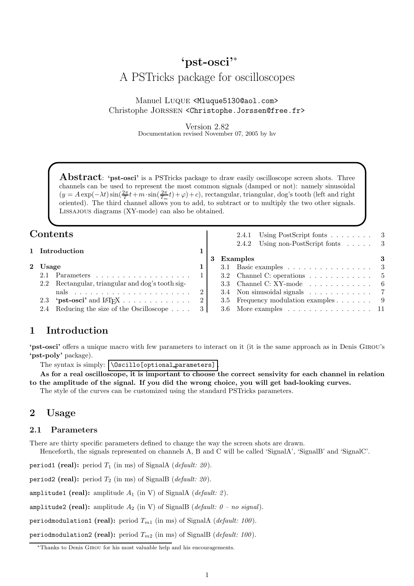# 'pst-osci'<sup>∗</sup> A PSTricks package for oscilloscopes

Manuel LUQUE <Mluque5130@aol.com> Christophe Jorssen <Christophe.Jorssen@free.fr>

> Version 2.82 Documentation revised November 07, 2005 by hv

**Abstract**: 'pst-osci' is a PSTricks package to draw easily oscilloscope screen shots. Three channels can be used to represent the most common signals (damped or not): namely sinusoidal  $(y = A \exp(-\lambda t) \sin(\frac{2\pi}{T}t + m \cdot \sin(\frac{2\pi}{T_m}t) + \varphi) + c)$ , rectangular, triangular, dog's tooth (left and right oriented). The third channel allows you to add, to subtract or to multiply the two other signals. Lissajous diagrams (XY-mode) can also be obtained.

| Contents |         |                                                                      |  |  | 2.4.1 Using PostScript fonts $\ldots \ldots \ldots$ 3     |  |
|----------|---------|----------------------------------------------------------------------|--|--|-----------------------------------------------------------|--|
|          |         | 1 Introduction                                                       |  |  | 2.4.2 Using non-PostScript fonts 3                        |  |
|          |         |                                                                      |  |  | Examples                                                  |  |
|          | 2 Usage |                                                                      |  |  | 3.1 Basic examples $\ldots \ldots \ldots \ldots \ldots$ 3 |  |
|          |         | 2.1 Parameters                                                       |  |  | 3.2 Channel C: operations $\ldots \ldots \ldots \ldots$ 5 |  |
|          |         | 2.2 Rectangular, triangular and dog's tooth sig-                     |  |  | 3.3 Channel C: XY-mode $\ldots \ldots \ldots \ldots$ 6    |  |
|          |         | nals $\ldots \ldots \ldots \ldots \ldots \ldots \ldots \ldots 2$     |  |  | 3.4 Non sinusoidal signals 7                              |  |
|          |         | 2.3 'pst-osci' and $\text{Lipx} \dots \dots \dots \dots \dots \dots$ |  |  | 3.5 Frequency modulation examples 9                       |  |
|          |         | 2.4 Reducing the size of the Oscilloscope 3                          |  |  | $3.6$ More examples 11                                    |  |

## 1 Introduction

'pst-osci' offers a unique macro with few parameters to interact on it (it is the same approach as in Denis Girou's 'pst-poly' package).

The syntax is simply:  $\bigcup_{\text{optional-parameters}}$ 

As for a real oscilloscope, it is important to choose the correct sensivity for each channel in relation to the amplitude of the signal. If you did the wrong choice, you will get bad-looking curves. The style of the curves can be customized using the standard PSTricks parameters.

#### 2 Usage

#### 2.1 Parameters

There are thirty specific parameters defined to change the way the screen shots are drawn.

Henceforth, the signals represented on channels A, B and C will be called 'SignalA', 'SignalB' and 'SignalC'.

period1 (real): period  $T_1$  (in ms) of SignalA (*default: 20*).

period2 (real): period  $T_2$  (in ms) of SignalB (*default: 20*).

amplitude1 (real): amplitude  $A_1$  (in V) of SignalA (*default: 2*).

amplitude2 (real): amplitude  $A_2$  (in V) of SignalB (default:  $0 - no$  signal).

periodmodulation1 (real): period  $T_{m1}$  (in ms) of SignalA (*default: 100*).

periodmodulation2 (real): period  $T_{m2}$  (in ms) of SignalB (*default: 100*).

<sup>∗</sup>Thanks to Denis Girou for his most valuable help and his encouragements.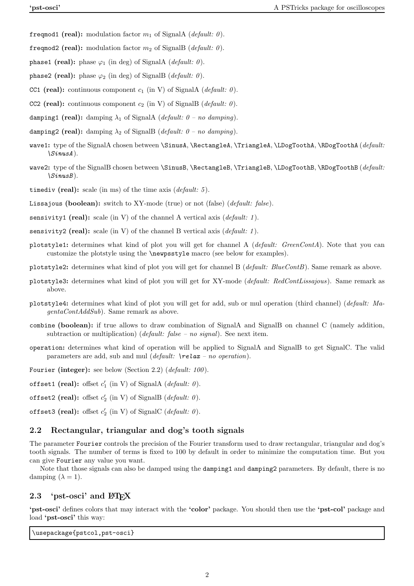- freqmod1 (real): modulation factor  $m_1$  of SignalA (*default: 0*).
- freqmod2 (real): modulation factor  $m_2$  of SignalB (*default: 0*).
- phase1 (real): phase  $\varphi_1$  (in deg) of SignalA (*default: 0*).
- phase2 (real): phase  $\varphi_2$  (in deg) of SignalB (*default: 0*).
- CC1 (real): continuous component  $c_1$  (in V) of SignalA (*default: 0*).
- CC2 (real): continuous component  $c_2$  (in V) of SignalB (*default: 0*).
- damping1 (real): damping  $\lambda_1$  of SignalA (default:  $0$  no damping).
- damping2 (real): damping  $\lambda_2$  of SignalB (default:  $0$  no damping).
- wave1: type of the SignalA chosen between \SinusA, \RectangleA, \TriangleA, \LDogToothA, \RDogToothA (default:  $\binom{SinusA}{.}$
- wave2: type of the SignalB chosen between \SinusB, \RectangleB, \TriangleB, \LDogToothB, \RDogToothB (default:  $\langle SinusB \rangle$ .
- timediv (real): scale (in ms) of the time axis (*default:* 5).
- Lissajous (boolean): switch to XY-mode (true) or not (false) (*default: false*).
- sensivity1 (real): scale (in V) of the channel A vertical axis (*default: 1*).
- sensivity2 (real): scale (in V) of the channel B vertical axis (*default: 1*).
- plotstyle1: determines what kind of plot you will get for channel A (default: GreenContA). Note that you can customize the plotstyle using the \newpsstyle macro (see below for examples).
- plotstyle2: determines what kind of plot you will get for channel B (default: BlueContB). Same remark as above.
- plotstyle3: determines what kind of plot you will get for XY-mode (default: RedContLissajous). Same remark as above.
- plotstyle4: determines what kind of plot you will get for add, sub or mul operation (third channel) (default: MagentaContAddSub). Same remark as above.
- combine (boolean): if true allows to draw combination of SignalA and SignalB on channel C (namely addition, subtraction or multiplication) (*default: false – no signal*). See next item.
- operation: determines what kind of operation will be applied to SignalA and SignalB to get SignalC. The valid parameters are add, sub and mul (*default:*  $\text{relax}$  – no operation).
- Fourier (integer): see below (Section 2.2) (*default: 100*).
- offset1 (real): offset  $c'_1$  (in V) of SignalA (default:  $\theta$ ).
- offset2 (real): offset  $c_2'$  (in V) of SignalB (*default: 0*).

offset3 (real): offset  $c_2'$  (in V) of SignalC (default: 0).

#### 2.2 Rectangular, triangular and dog's tooth signals

The parameter Fourier controls the precision of the Fourier transform used to draw rectangular, triangular and dog's tooth signals. The number of terms is fixed to 100 by default in order to minimize the computation time. But you can give Fourier any value you want.

Note that those signals can also be damped using the damping1 and damping2 parameters. By default, there is no damping  $(\lambda = 1)$ .

#### 2.3 'pst-osci' and  $\angle$ FIFX

'pst-osci' defines colors that may interact with the 'color' package. You should then use the 'pst-col' package and load '**pst-osci**' this way:

\usepackage{pstcol,pst-osci}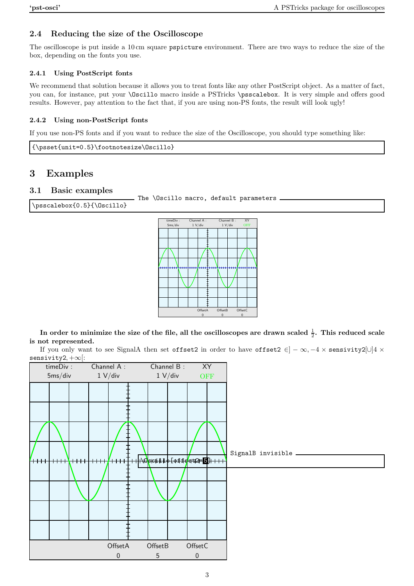## 2.4 Reducing the size of the Oscilloscope

The oscilloscope is put inside a 10 cm square pspicture environment. There are two ways to reduce the size of the box, depending on the fonts you use.

### 2.4.1 Using PostScript fonts

We recommend that solution because it allows you to treat fonts like any other PostScript object. As a matter of fact, you can, for instance, put your \Oscillo macro inside a PSTricks \psscalebox. It is very simple and offers good results. However, pay attention to the fact that, if you are using non-PS fonts, the result will look ugly!

### 2.4.2 Using non-PostScript fonts

If you use non-PS fonts and if you want to reduce the size of the Oscilloscope, you should type something like:

{\psset{unit=0.5}\footnotesize\Oscillo}

# 3 Examples

## 3.1 Basic examples

```
The \Oscillo macro, default parameters.
```
\psscalebox{0.5}{\Oscillo}



In order to minimize the size of the file, all the oscilloscopes are drawn scaled  $\frac{1}{2}.$  This reduced scale is not represented.

If you only want to see SignalA then set offset2 in order to have offset2  $\in]-\infty,-4\times$  sensivity2[∪]4  $\times$ sensivity2, +∞[:

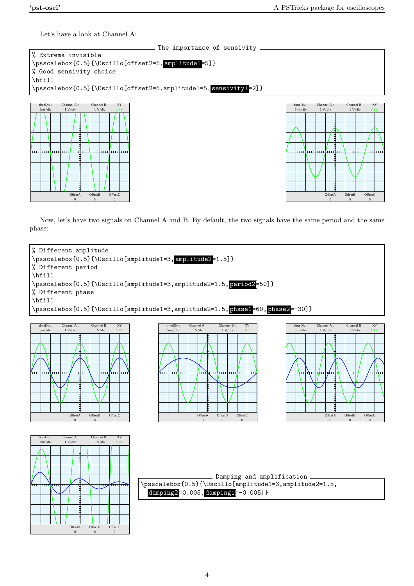OffsetB 5

OffsetA  $\theta$ 

Offset<sup>C</sup> 0

Let's have a look at Channel A:

Offset B 5

OffsetA  $\Omega$ 

Offset<sup>C</sup>  $\theta$ 



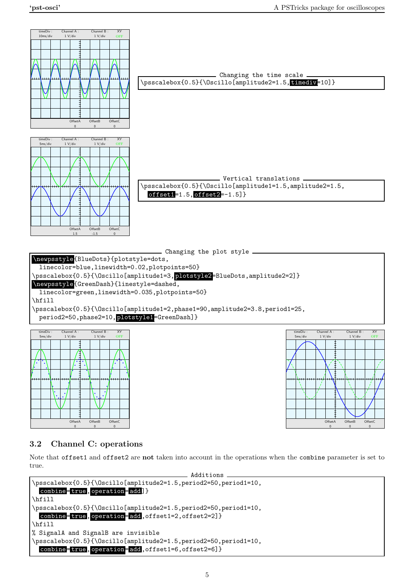OffsetB

OffsetA  $\Omega$ 

OffsetC



# 3.2 Channel C: operations

OffsetA

b b

OffsetB 0

b a b

OffsetC

Note that offset1 and offset2 are not taken into account in the operations when the combine parameter is set to true.

```
Additions
\psscalebox{0.5}{\Oscillo[amplitude2=1.5,period2=50,period1=10,
 combine= true, operation= add] }
\hfill
\psscalebox{0.5}{\Oscillo[amplitude2=1.5,period2=50,period1=10,
 combine=true, operation=add, offset1=2, offset2=2] }
\hfill
% SignalA and SignalB are invisible
\psscalebox{0.5}{\Oscillo[amplitude2=1.5,period2=50,period1=10,
 combine=true, operation=add, offset1=6, offset2=6]}
```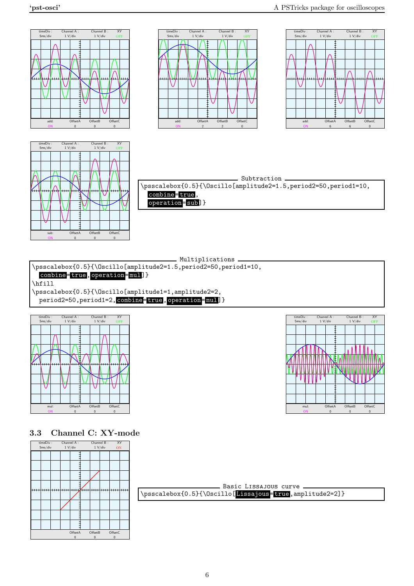XY OFF

OffsetC  $\mathbf{0}$ 



- Multiplications -

\psscalebox{0.5}{\Oscillo[amplitude2=1.5,period2=50,period1=10,

combine=true, operation=mul]}

\hfill

\psscalebox{0.5}{\Oscillo[amplitude1=1,amplitude2=2, period2=50, period1=2, combine= true, operation= mul]}



3.3 Channel C: XY-mode



| Basic LISSAJOUS curve                                   |  |
|---------------------------------------------------------|--|
| \psscalebox{0.5}{\Oscillo[Lissajous=true,amplitude2=2]} |  |
|                                                         |  |

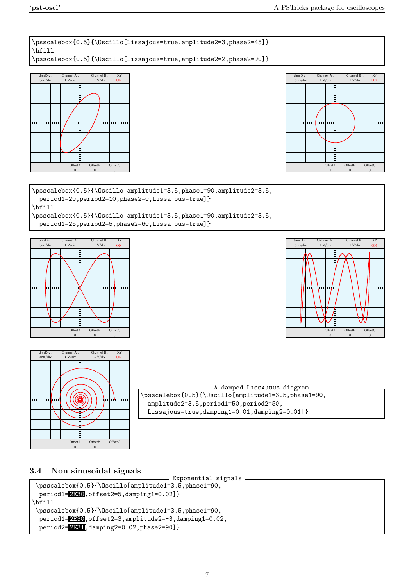\psscalebox{0.5}{\Oscillo[Lissajous=true,amplitude2=3,phase2=45]} \hfill \psscalebox{0.5}{\Oscillo[Lissajous=true,amplitude2=2,phase2=90]}





\psscalebox{0.5}{\Oscillo[amplitude1=3.5,phase1=90,amplitude2=3.5, period1=20,period2=10,phase2=0,Lissajous=true]} \hfill \psscalebox{0.5}{\Oscillo[amplitude1=3.5,phase1=90,amplitude2=3.5, period1=25,period2=5,phase2=60,Lissajous=true]}







A damped Lissajous diagram \psscalebox{0.5}{\Oscillo[amplitude1=3.5,phase1=90, amplitude2=3.5,period1=50,period2=50, Lissajous=true,damping1=0.01,damping2=0.01]}

## 3.4 Non sinusoidal signals

```
Exponential signals
\psscalebox{0.5}{\Oscillo[amplitude1=3.5,phase1=90,
 period1 = 2180, offset2=5, damping1=0.02]}
\hfill
\psscalebox{0.5}{\Oscillo[amplitude1=3.5,phase1=90,
 period1=2E30,offset2=3,amplitude2=-3,damping1=0.02,
 period2=2E31,damping2=0.02,phase2=90]}
```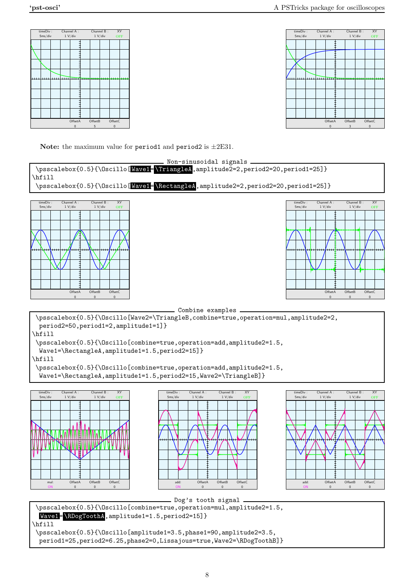



Note: the maximum value for period1 and period2 is  $\pm 2E31$ .

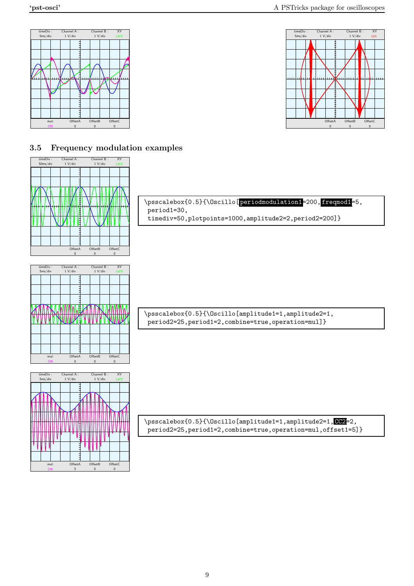mul: ON OffsetB  $\overline{0}$ 

OffsetA 5

OffsetC 0





### 3.5 Frequency modulation examples

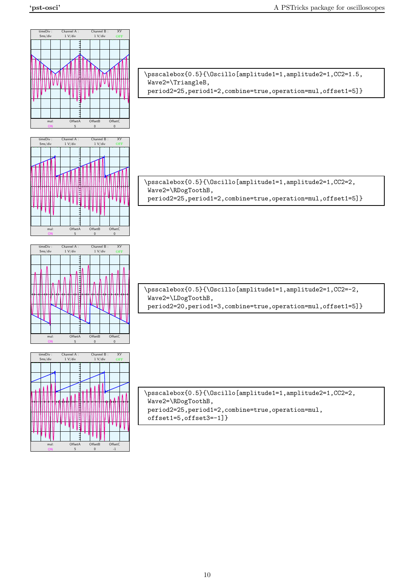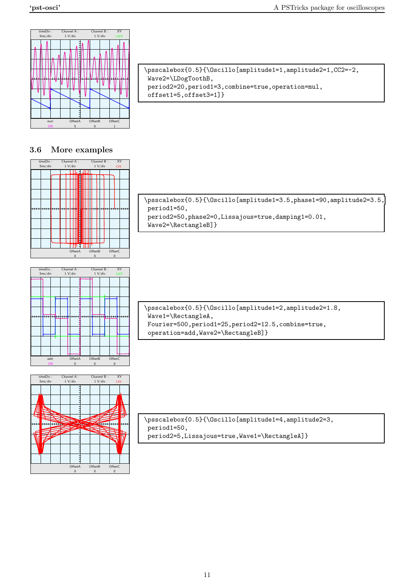

| \psscalebox{0.5}{\Oscillo[amplitude1=1,amplitude2=1,CC2=-2, |  |
|-------------------------------------------------------------|--|
| $Wave2 = \LDoqToothB$ ,                                     |  |
| period2=20, period1=3, combine=true, operation=mul,         |  |
| $offset1=5, offset3=1$ }                                    |  |
|                                                             |  |

#### 3.6 More examples



\psscalebox{0.5}{\Oscillo[amplitude1=3.5,phase1=90,amplitude2=3.5, period1=50, period2=50,phase2=0,Lissajous=true,damping1=0.01, Wave2=\RectangleB]}



\psscalebox{0.5}{\Oscillo[amplitude1=2,amplitude2=1.8, Wave1=\RectangleA, Fourier=500,period1=25,period2=12.5,combine=true, operation=add,Wave2=\RectangleB]}



\psscalebox{0.5}{\Oscillo[amplitude1=4,amplitude2=3, period1=50, period2=5,Lissajous=true,Wave1=\RectangleA]}